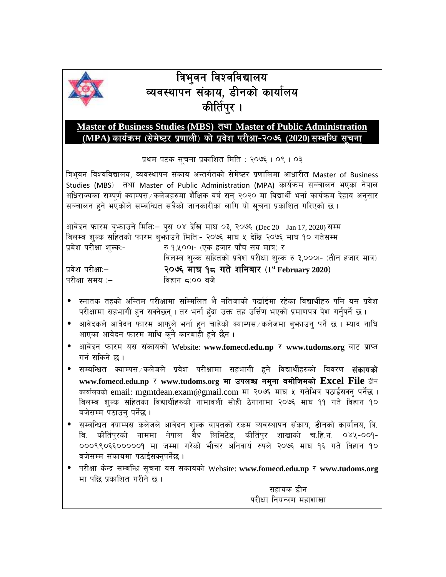

## **ब्रिभुवन विश्वविद्यालय** व्यवस्थापन संकाय, डीनको कार्यालय **कीर्तिपुर** ।

## **Master of Business Studies (MBS) tyf Master of Public Administration** (MPA) कार्यक्रम (सेमेष्टर प्रणाली) को प्रवेश परीक्षा-२०७६ (2020)सम्बन्धि सुचना

प्रथम पटक सूचना प्रकाशित मिति : २०७६ । ०९ । ०३

त्रिभुवन विश्वविद्यालय, व्यवस्थापन संकाय अन्तर्गतको सेमेष्टर प्रणालिमा आधारीत Master of Business Studies (MBS) तथा Master of Public Administration (MPA) कार्यक्रम सञ्चालन भएका नेपाल अधिराज्यका सम्पूर्ण क्याम्पस $\angle$ कलेजहरुमा शैक्षिक वर्ष सन् २०२० मा विद्यार्थी भर्ना कार्यक्रम देहाय अनुसार सञ्चालन हुने भएकोले सम्बन्धित सबैको जानकारीका लागि यो सूचना प्रकाशित गरिएको छ।

आवेदन फारम बुभ्राउने मिति:– पुस ०४ देखि माघ ०३, २०७६ (Dec 20 – Jan 17, 2020) सम्म विलम्ब शुल्क सहितको फारम ब्फाउने मिति:- २०७६ माघ ५ देखि २०७६ माघ १० गतेसम्म प्रबेश परीक्षा शुल्क:- रु १,५००।- (एक हजार पाँच सय मात्र) र

विलम्ब शुल्क सहितको प्रवेश परीक्षा शुल्क रु ३,०००।- (तीन हजार मात्र) k|j]z k/LIffM— **@)&^ df3 !\* ut] zlgaf/ -<sup>1</sup> st February <sup>2020</sup>\_** परीक्षा समय :– विहान द्र:०० बजे

- . स्नातक तहको अन्तिम परीक्षामा सम्मिलित भै नतिजाको पर्खाईमा रहेका विद्यार्थीहरु पनि यस प्रवेश परीक्षामा सहभागी हन सक्नेछन् । तर भर्ना हँदा उक्त तह उर्त्तिण भएको प्रमाणपत्र पेश गर्नुपर्ने छ ।
- ाओवेदकले आवेदन फारम आफुले भर्ना हुन चाहेको क्याम्पस $\scriptstyle\diagup$ कलेजमा बुभ्राउन् पर्ने छ । म्याद नाघि आएका आवेदन फारम माथि कुनै कारबाही हुने छैन ।
- आवेदन फारम यस संकायको Website: www.fomecd.edu.np र www.tudoms.org बाट प्राप्त गर्न सकिने छ।
- ः सम्बन्धित *क्याम्पस∀क*लेजले प्रवेश परीक्षामा सहभागी हने विद्यार्थीहरुको विवरण **संकायको** www.fomecd.edu.np र www.tudoms.org मा उपलब्ध नमना बमोजिमको Excel File डीन कार्यालयको email: mgmtdean.exam@gmail.com मा २०७६ माघ ५ गतेभित्र पठाईसक्नु पर्नेछ । विलम्ब शुल्क सहितका विद्यार्थीहरुको नामावली सोही ठेगानामा २०७६ माघ ११ गते विहान १० बजेसम्म पठाउन् पर्नेछ ।
- . सम्बन्धित क्याम्पस कलेजले आवेदन शुल्क बापतको रकम व्यवस्थापन संकाय, डीनको कार्यालय, त्रि वि. कीर्तिपरको नाममा नेपाल बैङ्ग लिमिटेड, कीर्तिपर शाखाको च.हि.नं. ०४५-००१-000९९0६६000009 मा जम्मा गरेको भौचर अनिवार्य रुपले २०७६ माघ १६ गते विहान १० बजेसम्म संकायमा पठाईसक्नुपर्नेछ ।
- **•** परीक्षा केन्द्र सम्बन्धि सूचना यस संकायको Website: www.fomecd.edu.np र www.tudoms.org मा पछि प्रकाशित गरीने छ ।

सहायक डीन परीक्षा नियन्त्रण महाशाखा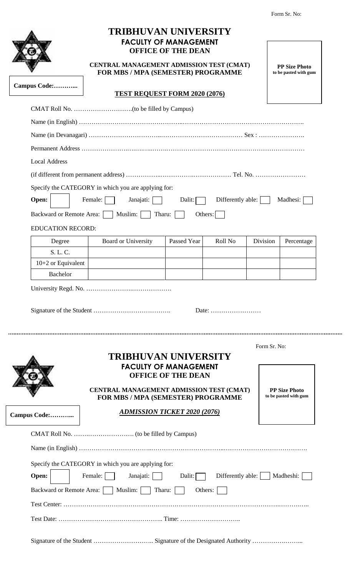|                            | <b>FACULTY OF MANAGEMENT</b><br><b>OFFICE OF THE DEAN</b><br>CENTRAL MANAGEMENT ADMISSION TEST (CMAT)<br>FOR MBS / MPA (SEMESTER) PROGRAMME   |                           |                                                       |              | <b>PP Size Photo</b><br>to be pasted with gum |  |
|----------------------------|-----------------------------------------------------------------------------------------------------------------------------------------------|---------------------------|-------------------------------------------------------|--------------|-----------------------------------------------|--|
| Campus Code:               | <b>TEST REQUEST FORM 2020 (2076)</b>                                                                                                          |                           |                                                       |              |                                               |  |
|                            |                                                                                                                                               |                           |                                                       |              |                                               |  |
|                            |                                                                                                                                               |                           |                                                       |              |                                               |  |
|                            |                                                                                                                                               |                           |                                                       |              |                                               |  |
|                            |                                                                                                                                               |                           |                                                       |              |                                               |  |
| <b>Local Address</b>       |                                                                                                                                               |                           |                                                       |              |                                               |  |
|                            |                                                                                                                                               |                           |                                                       |              |                                               |  |
|                            | Specify the CATEGORY in which you are applying for:                                                                                           |                           |                                                       |              |                                               |  |
| Open:                      | Female:<br>Janajati:                                                                                                                          | Dalit:                    | Differently able:                                     |              | Madhesi:                                      |  |
| Backward or Remote Area: [ | Muslim:<br>Tharu:                                                                                                                             |                           | Others:                                               |              |                                               |  |
| <b>EDUCATION RECORD:</b>   |                                                                                                                                               |                           |                                                       |              |                                               |  |
| Degree                     | <b>Board or University</b>                                                                                                                    | Passed Year               | Roll No                                               | Division     | Percentage                                    |  |
| S. L. C.                   |                                                                                                                                               |                           |                                                       |              |                                               |  |
| 10+2 or Equivalent         |                                                                                                                                               |                           |                                                       |              |                                               |  |
|                            |                                                                                                                                               |                           |                                                       |              |                                               |  |
| Bachelor                   |                                                                                                                                               |                           |                                                       |              |                                               |  |
|                            |                                                                                                                                               |                           | Date: $\dots\dots\dots\dots\dots\dots\dots\dots\dots$ |              |                                               |  |
|                            | <b>TRIBHUVAN UNIVERSITY</b><br><b>FACULTY OF MANAGEMENT</b><br>CENTRAL MANAGEMENT ADMISSION TEST (CMAT)<br>FOR MBS / MPA (SEMESTER) PROGRAMME | <b>OFFICE OF THE DEAN</b> |                                                       | Form Sr. No: | <b>PP Size Photo</b><br>to be pasted with gum |  |
| Campus Code:               | <b>ADMISSION TICKET 2020 (2076)</b>                                                                                                           |                           |                                                       |              |                                               |  |
|                            |                                                                                                                                               |                           |                                                       |              |                                               |  |
|                            |                                                                                                                                               |                           |                                                       |              |                                               |  |
|                            | Specify the CATEGORY in which you are applying for:                                                                                           |                           |                                                       |              |                                               |  |
| Open:                      | Female:<br>Janajati:                                                                                                                          | Dalit:                    | Differently able:                                     |              | Madheshi:                                     |  |
|                            | Tharu:                                                                                                                                        |                           | Others:                                               |              |                                               |  |
| Backward or Remote Area:   | Muslim:                                                                                                                                       |                           |                                                       |              |                                               |  |
|                            |                                                                                                                                               |                           |                                                       |              |                                               |  |